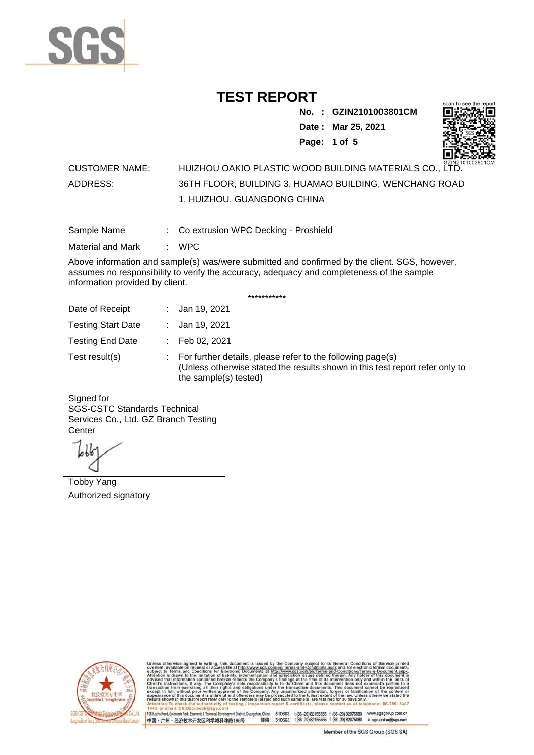

**No. : GZIN2101003801CM Date : Mar 25, 2021**

**Page: 1 of 5** 



#### CUSTOMER NAME: HUIZHOU OAKIO PLASTIC WOOD BUILDING MATERIALS CO., LTD. ADDRESS: 36TH FLOOR, BUILDING 3, HUAMAO BUILDING, WENCHANG ROAD 1, HUIZHOU, GUANGDONG CHINA

Sample Name : Co extrusion WPC Decking - Proshield

Material and Mark : WPC

Above information and sample(s) was/were submitted and confirmed by the client. SGS, however, assumes no responsibility to verify the accuracy, adequacy and completeness of the sample information provided by client.

\*\*\*\*\*\*\*\*\*\*\*

| Date of Receipt           | : Jan 19, 2021                                                                                                                                                        |
|---------------------------|-----------------------------------------------------------------------------------------------------------------------------------------------------------------------|
| <b>Testing Start Date</b> | : Jan 19, 2021                                                                                                                                                        |
| <b>Testing End Date</b>   | : Feb 02, 2021                                                                                                                                                        |
| Test result(s)            | : For further details, please refer to the following page(s)<br>(Unless otherwise stated the results shown in this test report refer only to<br>the sample(s) tested) |

Signed for SGS-CSTC Standards Technical Services Co., Ltd. GZ Branch Testing **Center** 

Tobby Yang Authorized signatory



510663 t(86-20) 82155555 f (86-20) 82075080 www.sgsgroup.com.cn<br>510663 t(86-20) 82155555 f (86-20) 82075080 e sgs.china@sgs.com 198 Kezhu Road, Scientech Park, Eco nomic & Technical Devel tou, China. ant District C 邮编: 中国·广州·经济技术开发区科学城科珠路198号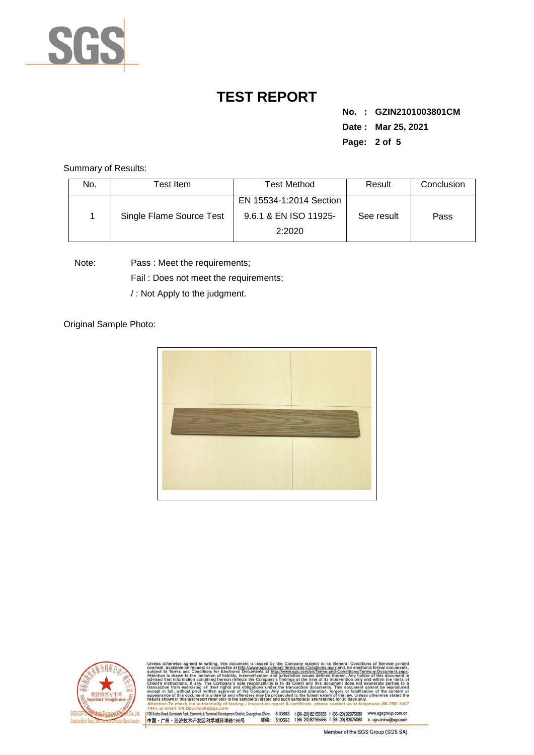

**No. : GZIN2101003801CM Date : Mar 25, 2021 Page: 2 of 5** 

Summary of Results:

| No. | Test Item                | Test Method                                      | Result     | Conclusion |
|-----|--------------------------|--------------------------------------------------|------------|------------|
|     | Single Flame Source Test | EN 15534-1:2014 Section<br>9.6.1 & EN ISO 11925- | See result | Pass       |
|     |                          | 2:2020                                           |            |            |

Note: Pass : Meet the requirements;

Fail : Does not meet the requirements;

/ : Not Apply to the judgment.

Original Sample Photo:





Conditions/Terms-e-Docu<br>rein. Any holder of this o 8307 198 Kezhu Road, Scientech Park, Economic & Technical Develop 中国·广州·经济技术开发区科学城科珠路198号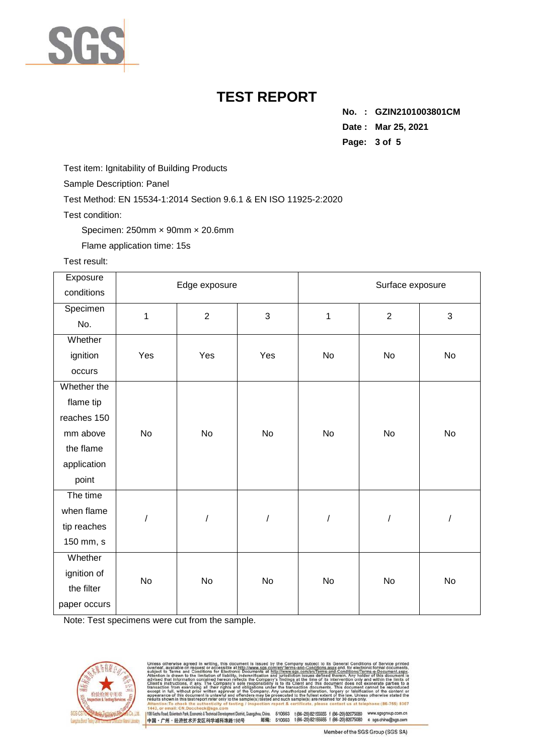

**No. : GZIN2101003801CM Date : Mar 25, 2021 Page: 3 of 5** 

Test item: Ignitability of Building Products

Sample Description: Panel

Test Method: EN 15534-1:2014 Section 9.6.1 & EN ISO 11925-2:2020

Test condition:

Specimen: 250mm × 90mm × 20.6mm

Flame application time: 15s

#### Test result:

| Exposure     | Edge exposure        |                |                      | Surface exposure |                      |            |
|--------------|----------------------|----------------|----------------------|------------------|----------------------|------------|
| conditions   |                      |                |                      |                  |                      |            |
| Specimen     | $\mathbf{1}$         | $\overline{2}$ | 3                    | $\mathbf{1}$     | $\overline{2}$       | 3          |
| No.          |                      |                |                      |                  |                      |            |
| Whether      |                      |                |                      |                  |                      |            |
| ignition     | Yes                  | Yes            | Yes                  | No               | No                   | No         |
| occurs       |                      |                |                      |                  |                      |            |
| Whether the  |                      | No             | No                   | No               | No                   | No         |
| flame tip    |                      |                |                      |                  |                      |            |
| reaches 150  | No                   |                |                      |                  |                      |            |
| mm above     |                      |                |                      |                  |                      |            |
| the flame    |                      |                |                      |                  |                      |            |
| application  |                      |                |                      |                  |                      |            |
| point        |                      |                |                      |                  |                      |            |
| The time     | $\sqrt{\phantom{a}}$ |                | $\sqrt{\phantom{a}}$ |                  | $\sqrt{\phantom{a}}$ | $\sqrt{2}$ |
| when flame   |                      |                |                      |                  |                      |            |
| tip reaches  |                      |                |                      |                  |                      |            |
| 150 mm, s    |                      |                |                      |                  |                      |            |
| Whether      | <b>No</b>            | No             | No                   | No               | No                   | No         |
| ignition of  |                      |                |                      |                  |                      |            |
| the filter   |                      |                |                      |                  |                      |            |
| paper occurs |                      |                |                      |                  |                      |            |

Note: Test specimens were cut from the sample.



issued by the state of the state of the state of the fication and s-and-Conditions/Terms-e-Docun<br>ed therein. Any holder of this do only<br>not 830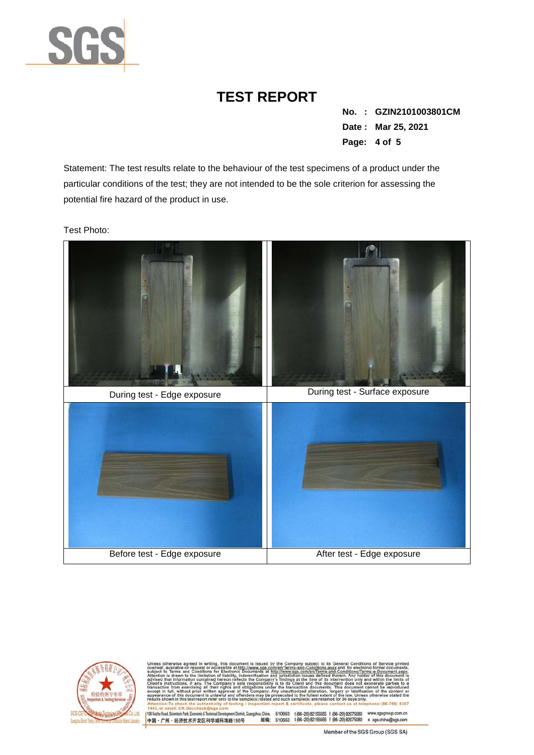

**No. : GZIN2101003801CM Date : Mar 25, 2021 Page: 4 of 5** 

Statement: The test results relate to the behaviour of the test specimens of a product under the particular conditions of the test; they are not intended to be the sole criterion for assessing the potential fire hazard of the product in use.

Test Photo:





Conditions/Terms-e-D<br>rein. Any holder of th angzhou, China. 510663 1 (86-20) 82155555 1 (86-20) 82075080 www.sgsgroup.com.cn<br>邮编: 510663 1 (86-20) 82155555 1 (86-20) 82075080 e sgs.china@sgs.com 198 Kezhu Road, Scientech Park, Economic & Technical Devel ent District, G 中国·广州·经济技术开发区科学城科珠路198号